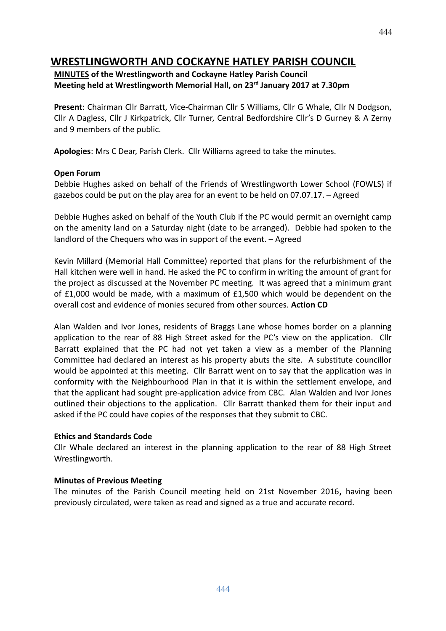# **WRESTLINGWORTH AND COCKAYNE HATLEY PARISH COUNCIL**

## **MINUTES of the Wrestlingworth and Cockayne Hatley Parish Council Meeting held at Wrestlingworth Memorial Hall, on 23rd January 2017 at 7.30pm**

**Present**: Chairman Cllr Barratt, Vice-Chairman Cllr S Williams, Cllr G Whale, Cllr N Dodgson, Cllr A Dagless, Cllr J Kirkpatrick, Cllr Turner, Central Bedfordshire Cllr's D Gurney & A Zerny and 9 members of the public.

**Apologies**: Mrs C Dear, Parish Clerk. Cllr Williams agreed to take the minutes.

#### **Open Forum**

Debbie Hughes asked on behalf of the Friends of Wrestlingworth Lower School (FOWLS) if gazebos could be put on the play area for an event to be held on 07.07.17. – Agreed

Debbie Hughes asked on behalf of the Youth Club if the PC would permit an overnight camp on the amenity land on a Saturday night (date to be arranged). Debbie had spoken to the landlord of the Chequers who was in support of the event. – Agreed

Kevin Millard (Memorial Hall Committee) reported that plans for the refurbishment of the Hall kitchen were well in hand. He asked the PC to confirm in writing the amount of grant for the project as discussed at the November PC meeting. It was agreed that a minimum grant of £1,000 would be made, with a maximum of £1,500 which would be dependent on the overall cost and evidence of monies secured from other sources. **Action CD**

Alan Walden and Ivor Jones, residents of Braggs Lane whose homes border on a planning application to the rear of 88 High Street asked for the PC's view on the application. Cllr Barratt explained that the PC had not yet taken a view as a member of the Planning Committee had declared an interest as his property abuts the site. A substitute councillor would be appointed at this meeting. Cllr Barratt went on to say that the application was in conformity with the Neighbourhood Plan in that it is within the settlement envelope, and that the applicant had sought pre-application advice from CBC. Alan Walden and Ivor Jones outlined their objections to the application. Cllr Barratt thanked them for their input and asked if the PC could have copies of the responses that they submit to CBC.

#### **Ethics and Standards Code**

Cllr Whale declared an interest in the planning application to the rear of 88 High Street Wrestlingworth.

## **Minutes of Previous Meeting**

The minutes of the Parish Council meeting held on 21st November 2016**,** having been previously circulated, were taken as read and signed as a true and accurate record.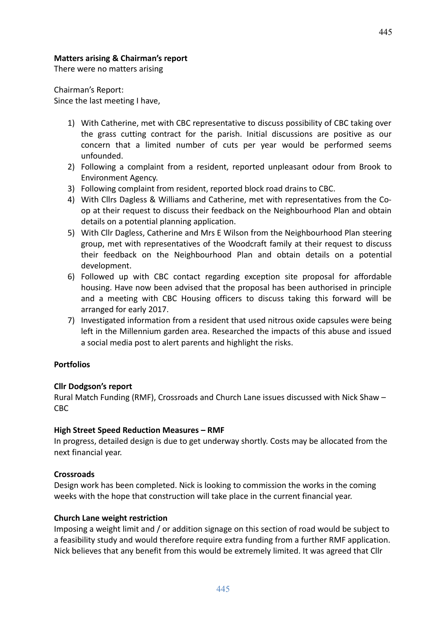#### **Matters arising & Chairman's report**

There were no matters arising

Chairman's Report: Since the last meeting I have,

- 1) With Catherine, met with CBC representative to discuss possibility of CBC taking over the grass cutting contract for the parish. Initial discussions are positive as our concern that a limited number of cuts per year would be performed seems unfounded.
- 2) Following a complaint from a resident, reported unpleasant odour from Brook to Environment Agency.
- 3) Following complaint from resident, reported block road drains to CBC.
- 4) With Cllrs Dagless & Williams and Catherine, met with representatives from the Coop at their request to discuss their feedback on the Neighbourhood Plan and obtain details on a potential planning application.
- 5) With Cllr Dagless, Catherine and Mrs E Wilson from the Neighbourhood Plan steering group, met with representatives of the Woodcraft family at their request to discuss their feedback on the Neighbourhood Plan and obtain details on a potential development.
- 6) Followed up with CBC contact regarding exception site proposal for affordable housing. Have now been advised that the proposal has been authorised in principle and a meeting with CBC Housing officers to discuss taking this forward will be arranged for early 2017.
- 7) Investigated information from a resident that used nitrous oxide capsules were being left in the Millennium garden area. Researched the impacts of this abuse and issued a social media post to alert parents and highlight the risks.

#### **Portfolios**

#### **Cllr Dodgson's report**

Rural Match Funding (RMF), Crossroads and Church Lane issues discussed with Nick Shaw – CBC

#### **High Street Speed Reduction Measures – RMF**

In progress, detailed design is due to get underway shortly. Costs may be allocated from the next financial year.

#### **Crossroads**

Design work has been completed. Nick is looking to commission the works in the coming weeks with the hope that construction will take place in the current financial year.

#### **Church Lane weight restriction**

Imposing a weight limit and / or addition signage on this section of road would be subject to a feasibility study and would therefore require extra funding from a further RMF application. Nick believes that any benefit from this would be extremely limited. It was agreed that Cllr

445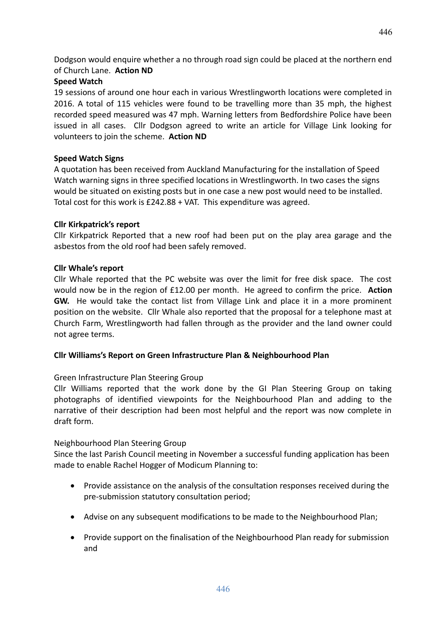Dodgson would enquire whether a no through road sign could be placed at the northern end of Church Lane. **Action ND**

## **Speed Watch**

19 sessions of around one hour each in various Wrestlingworth locations were completed in 2016. A total of 115 vehicles were found to be travelling more than 35 mph, the highest recorded speed measured was 47 mph. Warning letters from Bedfordshire Police have been issued in all cases. Cllr Dodgson agreed to write an article for Village Link looking for volunteers to join the scheme. **Action ND**

## **Speed Watch Signs**

A quotation has been received from Auckland Manufacturing for the installation of Speed Watch warning signs in three specified locations in Wrestlingworth. In two cases the signs would be situated on existing posts but in one case a new post would need to be installed. Total cost for this work is £242.88 + VAT. This expenditure was agreed.

## **Cllr Kirkpatrick's report**

Cllr Kirkpatrick Reported that a new roof had been put on the play area garage and the asbestos from the old roof had been safely removed.

## **Cllr Whale's report**

Cllr Whale reported that the PC website was over the limit for free disk space. The cost would now be in the region of £12.00 per month. He agreed to confirm the price. **Action GW.** He would take the contact list from Village Link and place it in a more prominent position on the website. Cllr Whale also reported that the proposal for a telephone mast at Church Farm, Wrestlingworth had fallen through as the provider and the land owner could not agree terms.

## **Cllr Williams's Report on Green Infrastructure Plan & Neighbourhood Plan**

## Green Infrastructure Plan Steering Group

Cllr Williams reported that the work done by the GI Plan Steering Group on taking photographs of identified viewpoints for the Neighbourhood Plan and adding to the narrative of their description had been most helpful and the report was now complete in draft form.

## Neighbourhood Plan Steering Group

Since the last Parish Council meeting in November a successful funding application has been made to enable Rachel Hogger of Modicum Planning to:

- Provide assistance on the analysis of the consultation responses received during the pre-submission statutory consultation period;
- Advise on any subsequent modifications to be made to the Neighbourhood Plan;
- Provide support on the finalisation of the Neighbourhood Plan ready for submission and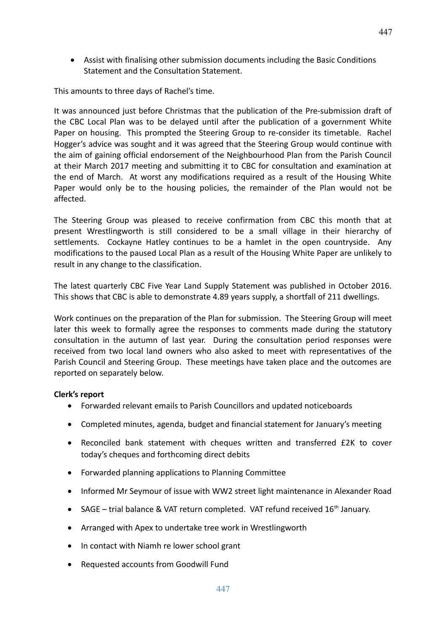Assist with finalising other submission documents including the Basic Conditions Statement and the Consultation Statement.

This amounts to three days of Rachel's time.

It was announced just before Christmas that the publication of the Pre-submission draft of the CBC Local Plan was to be delayed until after the publication of a government White Paper on housing. This prompted the Steering Group to re-consider its timetable. Rachel Hogger's advice was sought and it was agreed that the Steering Group would continue with the aim of gaining official endorsement of the Neighbourhood Plan from the Parish Council at their March 2017 meeting and submitting it to CBC for consultation and examination at the end of March. At worst any modifications required as a result of the Housing White Paper would only be to the housing policies, the remainder of the Plan would not be affected.

The Steering Group was pleased to receive confirmation from CBC this month that at present Wrestlingworth is still considered to be a small village in their hierarchy of settlements. Cockayne Hatley continues to be a hamlet in the open countryside. Any modifications to the paused Local Plan as a result of the Housing White Paper are unlikely to result in any change to the classification.

The latest quarterly CBC Five Year Land Supply Statement was published in October 2016. This shows that CBC is able to demonstrate 4.89 years supply, a shortfall of 211 dwellings.

Work continues on the preparation of the Plan for submission. The Steering Group will meet later this week to formally agree the responses to comments made during the statutory consultation in the autumn of last year. During the consultation period responses were received from two local land owners who also asked to meet with representatives of the Parish Council and Steering Group. These meetings have taken place and the outcomes are reported on separately below.

## **Clerk's report**

- Forwarded relevant emails to Parish Councillors and updated noticeboards
- Completed minutes, agenda, budget and financial statement for January's meeting
- Reconciled bank statement with cheques written and transferred £2K to cover today's cheques and forthcoming direct debits
- Forwarded planning applications to Planning Committee
- Informed Mr Seymour of issue with WW2 street light maintenance in Alexander Road
- SAGE trial balance & VAT return completed. VAT refund received  $16<sup>th</sup>$  January.
- Arranged with Apex to undertake tree work in Wrestlingworth
- In contact with Niamh re lower school grant
- Requested accounts from Goodwill Fund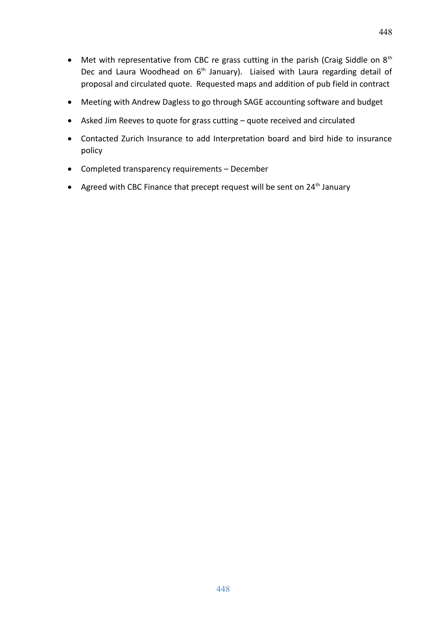- $\bullet$  Met with representative from CBC re grass cutting in the parish (Craig Siddle on  $8^{th}$ ) Dec and Laura Woodhead on  $6<sup>th</sup>$  January). Liaised with Laura regarding detail of proposal and circulated quote. Requested maps and addition of pub field in contract
- Meeting with Andrew Dagless to go through SAGE accounting software and budget
- Asked Jim Reeves to quote for grass cutting quote received and circulated
- Contacted Zurich Insurance to add Interpretation board and bird hide to insurance policy
- Completed transparency requirements December
- Agreed with CBC Finance that precept request will be sent on  $24<sup>th</sup>$  January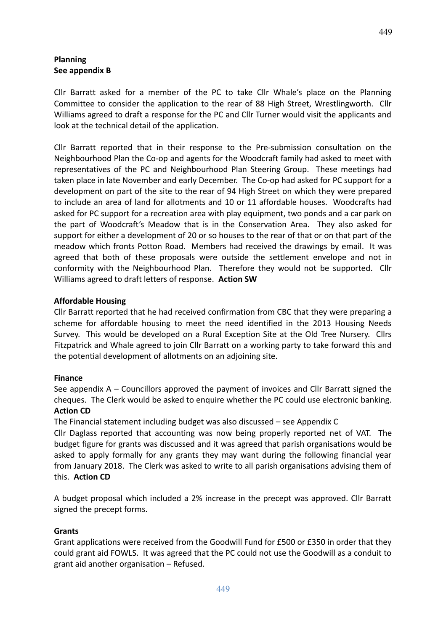## **Planning See appendix B**

Cllr Barratt asked for a member of the PC to take Cllr Whale's place on the Planning Committee to consider the application to the rear of 88 High Street, Wrestlingworth. Cllr Williams agreed to draft a response for the PC and Cllr Turner would visit the applicants and look at the technical detail of the application.

Cllr Barratt reported that in their response to the Pre-submission consultation on the Neighbourhood Plan the Co-op and agents for the Woodcraft family had asked to meet with representatives of the PC and Neighbourhood Plan Steering Group. These meetings had taken place in late November and early December. The Co-op had asked for PC support for a development on part of the site to the rear of 94 High Street on which they were prepared to include an area of land for allotments and 10 or 11 affordable houses. Woodcrafts had asked for PC support for a recreation area with play equipment, two ponds and a car park on the part of Woodcraft's Meadow that is in the Conservation Area. They also asked for support for either a development of 20 or so houses to the rear of that or on that part of the meadow which fronts Potton Road. Members had received the drawings by email. It was agreed that both of these proposals were outside the settlement envelope and not in conformity with the Neighbourhood Plan. Therefore they would not be supported. Cllr Williams agreed to draft letters of response. **Action SW**

#### **Affordable Housing**

Cllr Barratt reported that he had received confirmation from CBC that they were preparing a scheme for affordable housing to meet the need identified in the 2013 Housing Needs Survey. This would be developed on a Rural Exception Site at the Old Tree Nursery. Cllrs Fitzpatrick and Whale agreed to join Cllr Barratt on a working party to take forward this and the potential development of allotments on an adjoining site.

#### **Finance**

See appendix A – Councillors approved the payment of invoices and Cllr Barratt signed the cheques. The Clerk would be asked to enquire whether the PC could use electronic banking. **Action CD**

The Financial statement including budget was also discussed – see Appendix C

Cllr Daglass reported that accounting was now being properly reported net of VAT. The budget figure for grants was discussed and it was agreed that parish organisations would be asked to apply formally for any grants they may want during the following financial year from January 2018. The Clerk was asked to write to all parish organisations advising them of this. **Action CD**

A budget proposal which included a 2% increase in the precept was approved. Cllr Barratt signed the precept forms.

#### **Grants**

Grant applications were received from the Goodwill Fund for £500 or £350 in order that they could grant aid FOWLS. It was agreed that the PC could not use the Goodwill as a conduit to grant aid another organisation – Refused.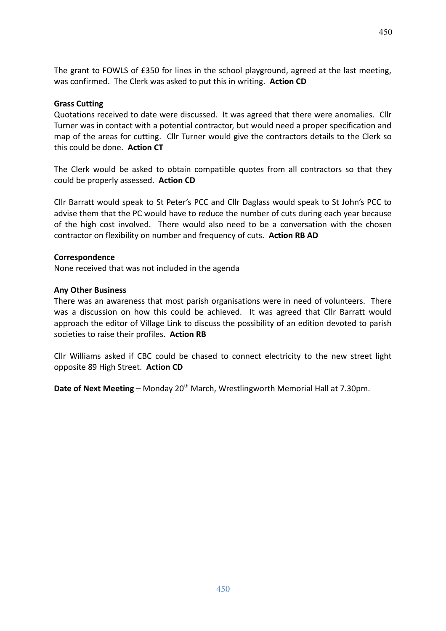The grant to FOWLS of £350 for lines in the school playground, agreed at the last meeting, was confirmed. The Clerk was asked to put this in writing. **Action CD**

#### **Grass Cutting**

Quotations received to date were discussed. It was agreed that there were anomalies. Cllr Turner was in contact with a potential contractor, but would need a proper specification and map of the areas for cutting. Cllr Turner would give the contractors details to the Clerk so this could be done. **Action CT**

The Clerk would be asked to obtain compatible quotes from all contractors so that they could be properly assessed. **Action CD**

Cllr Barratt would speak to St Peter's PCC and Cllr Daglass would speak to St John's PCC to advise them that the PC would have to reduce the number of cuts during each year because of the high cost involved. There would also need to be a conversation with the chosen contractor on flexibility on number and frequency of cuts. **Action RB AD**

#### **Correspondence**

None received that was not included in the agenda

#### **Any Other Business**

There was an awareness that most parish organisations were in need of volunteers. There was a discussion on how this could be achieved. It was agreed that Cllr Barratt would approach the editor of Village Link to discuss the possibility of an edition devoted to parish societies to raise their profiles. **Action RB**

Cllr Williams asked if CBC could be chased to connect electricity to the new street light opposite 89 High Street. **Action CD**

**Date of Next Meeting** – Monday 20<sup>th</sup> March, Wrestlingworth Memorial Hall at 7.30pm.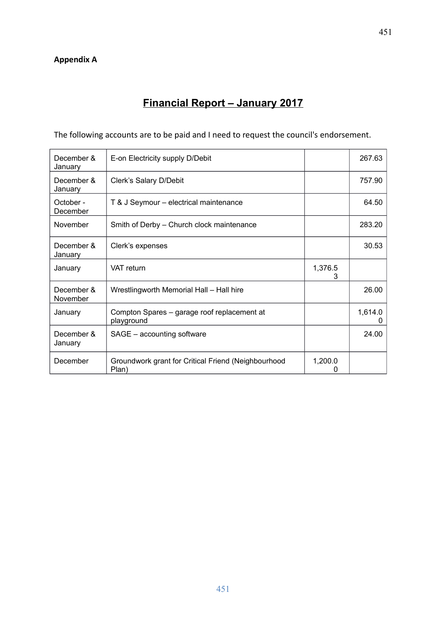# **Financial Report – January 2017**

The following accounts are to be paid and I need to request the council's endorsement.

| December &<br>January  | E-on Electricity supply D/Debit                              |              | 267.63       |
|------------------------|--------------------------------------------------------------|--------------|--------------|
| December &<br>January  | Clerk's Salary D/Debit                                       |              | 757.90       |
| October -<br>December  | T & J Seymour - electrical maintenance                       |              | 64.50        |
| November               | Smith of Derby - Church clock maintenance                    |              | 283.20       |
| December &<br>January  | Clerk's expenses                                             |              | 30.53        |
| January                | VAT return                                                   | 1,376.5<br>З |              |
| December &<br>November | Wrestlingworth Memorial Hall - Hall hire                     |              | 26.00        |
| January                | Compton Spares - garage roof replacement at<br>playground    |              | 1,614.0<br>0 |
| December &<br>January  | SAGE - accounting software                                   |              | 24.00        |
| December               | Groundwork grant for Critical Friend (Neighbourhood<br>Plan) | 1,200.0      |              |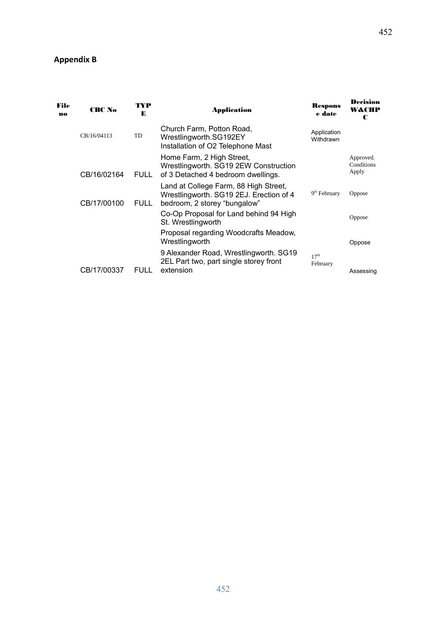# **Appendix B**

| File<br>no | <b>CBC No</b> | TYP<br>Application<br>Е |                                                                                                                  |                              | <b>Decision</b><br>W&CHP<br>C    |
|------------|---------------|-------------------------|------------------------------------------------------------------------------------------------------------------|------------------------------|----------------------------------|
|            | CB/16/04113   | <b>TD</b>               | Church Farm, Potton Road,<br>Wrestlingworth.SG192EY<br>Installation of O2 Telephone Mast                         | Application<br>Withdrawn     |                                  |
|            | CB/16/02164   | <b>FULL</b>             | Home Farm, 2 High Street,<br>Wrestlingworth. SG19 2EW Construction<br>of 3 Detached 4 bedroom dwellings.         |                              | Approved.<br>Conditions<br>Apply |
|            | CB/17/00100   | <b>FULL</b>             | Land at College Farm, 88 High Street,<br>Wrestlingworth. SG19 2EJ. Erection of 4<br>bedroom, 2 storey "bungalow" | $9th$ February               | <b>Oppose</b>                    |
|            |               |                         | Co-Op Proposal for Land behind 94 High<br>St. Wrestlingworth                                                     |                              | <b>Oppose</b>                    |
|            |               |                         | Proposal regarding Woodcrafts Meadow,<br>Wrestlingworth                                                          |                              | Oppose                           |
|            |               |                         | 9 Alexander Road, Wrestlingworth. SG19<br>2EL Part two, part single storey front                                 | 17 <sup>th</sup><br>February |                                  |
|            | CB/17/00337   | <b>FULL</b>             | extension                                                                                                        |                              | Assessing                        |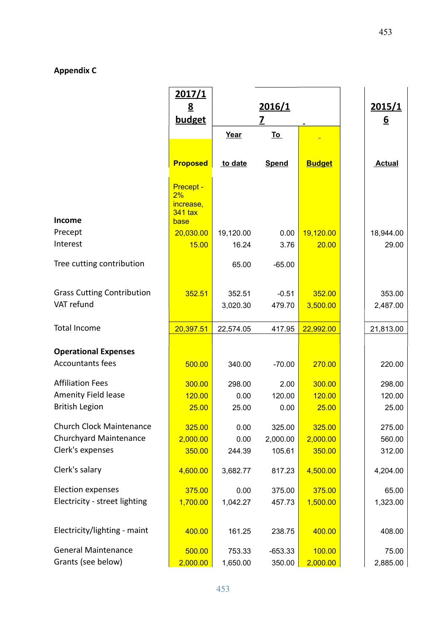## **Appendix C**

|                                   | <u>2017/1</u><br>$\underline{8}$<br>budget                    | 2016/1<br>7 |              | 2015/1<br><u>6</u> |               |
|-----------------------------------|---------------------------------------------------------------|-------------|--------------|--------------------|---------------|
|                                   |                                                               | Year        | <u>To</u>    |                    |               |
|                                   |                                                               |             |              |                    |               |
|                                   | <b>Proposed</b>                                               | to date     | <b>Spend</b> | <b>Budget</b>      | <b>Actual</b> |
| <b>Income</b>                     | <b>Precept -</b><br>2%<br>increase,<br><b>341 tax</b><br>base |             |              |                    |               |
| Precept                           | 20,030.00                                                     | 19,120.00   | 0.00         | 19,120.00          | 18,944.00     |
| Interest                          | 15.00                                                         | 16.24       | 3.76         | 20.00              | 29.00         |
| Tree cutting contribution         |                                                               | 65.00       | $-65.00$     |                    |               |
|                                   |                                                               |             |              |                    |               |
| <b>Grass Cutting Contribution</b> | 352.51                                                        | 352.51      | $-0.51$      | 352.00             | 353.00        |
| VAT refund                        |                                                               | 3,020.30    | 479.70       | 3,500.00           | 2,487.00      |
| <b>Total Income</b>               | 20,397.51                                                     | 22,574.05   | 417.95       | 22,992.00          | 21,813.00     |
| <b>Operational Expenses</b>       |                                                               |             |              |                    |               |
| <b>Accountants fees</b>           | 500.00                                                        | 340.00      | $-70.00$     | 270.00             | 220.00        |
| <b>Affiliation Fees</b>           | 300.00                                                        | 298.00      | 2.00         | 300.00             | 298.00        |
| <b>Amenity Field lease</b>        | 120.00                                                        | 0.00        | 120.00       | 120.00             | 120.00        |
| <b>British Legion</b>             | 25.00                                                         | 25.00       | 0.00         | 25.00              | 25.00         |
| Church Clock Maintenance          | 325.00                                                        | 0.00        | 325.00       | 325.00             | 275.00        |
| <b>Churchyard Maintenance</b>     | 2,000.00                                                      | 0.00        | 2,000.00     | 2,000.00           | 560.00        |
| Clerk's expenses                  | 350.00                                                        | 244.39      | 105.61       | 350.00             | 312.00        |
| Clerk's salary                    | 4,600.00                                                      | 3,682.77    | 817.23       | 4,500.00           | 4,204.00      |
| <b>Election expenses</b>          | 375.00                                                        | 0.00        | 375.00       | 375.00             | 65.00         |
| Electricity - street lighting     | 1,700.00                                                      | 1,042.27    | 457.73       | 1,500.00           | 1,323.00      |
| Electricity/lighting - maint      | 400.00                                                        | 161.25      | 238.75       | 400.00             | 408.00        |
| <b>General Maintenance</b>        | 500.00                                                        | 753.33      | $-653.33$    | 100.00             | 75.00         |
| Grants (see below)                | 2,000.00                                                      | 1,650.00    | 350.00       | 2,000.00           | 2,885.00      |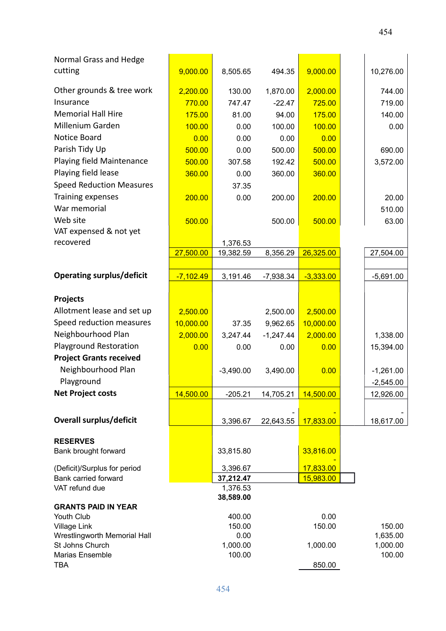| Normal Grass and Hedge                              |             |                       |             |             |                    |
|-----------------------------------------------------|-------------|-----------------------|-------------|-------------|--------------------|
| cutting                                             | 9,000.00    | 8,505.65              | 494.35      | 9,000.00    | 10,276.00          |
| Other grounds & tree work                           | 2,200.00    | 130.00                | 1,870.00    | 2,000.00    | 744.00             |
| Insurance                                           | 770.00      | 747.47                | $-22.47$    | 725.00      | 719.00             |
| <b>Memorial Hall Hire</b>                           | 175.00      | 81.00                 | 94.00       | 175.00      | 140.00             |
| Millenium Garden                                    | 100.00      | 0.00                  | 100.00      | 100.00      | 0.00               |
| Notice Board                                        | 0.00        | 0.00                  | 0.00        | 0.00        |                    |
| Parish Tidy Up                                      | 500.00      | 0.00                  | 500.00      | 500.00      | 690.00             |
| Playing field Maintenance                           | 500.00      | 307.58                | 192.42      | 500.00      | 3,572.00           |
| Playing field lease                                 | 360.00      | 0.00                  | 360.00      | 360.00      |                    |
| <b>Speed Reduction Measures</b>                     |             | 37.35                 |             |             |                    |
| Training expenses                                   | 200.00      | 0.00                  | 200.00      | 200.00      | 20.00              |
| War memorial                                        |             |                       |             |             | 510.00             |
| Web site                                            | 500.00      |                       | 500.00      | 500.00      | 63.00              |
| VAT expensed & not yet                              |             |                       |             |             |                    |
| recovered                                           |             | 1,376.53              |             |             |                    |
|                                                     | 27,500.00   | 19,382.59             | 8,356.29    | 26,325.00   | 27,504.00          |
|                                                     |             |                       |             |             |                    |
| <b>Operating surplus/deficit</b>                    | $-7,102.49$ | 3,191.46              | $-7,938.34$ | $-3,333.00$ | $-5,691.00$        |
| <b>Projects</b>                                     |             |                       |             |             |                    |
| Allotment lease and set up                          | 2,500.00    |                       | 2,500.00    | 2,500.00    |                    |
| Speed reduction measures                            | 10,000.00   | 37.35                 | 9,962.65    | 10,000.00   |                    |
| Neighbourhood Plan                                  | 2,000.00    | 3,247.44              | $-1,247.44$ | 2,000.00    | 1,338.00           |
| <b>Playground Restoration</b>                       | 0.00        | 0.00                  | 0.00        | 0.00        | 15,394.00          |
| <b>Project Grants received</b>                      |             |                       |             |             |                    |
| Neighbourhood Plan                                  |             | $-3,490.00$           | 3,490.00    | 0.00        | $-1,261.00$        |
| Playground                                          |             |                       |             |             | $-2,545.00$        |
| <b>Net Project costs</b>                            | 14,500.00   | $-205.21$             | 14,705.21   | 14,500.00   | 12,926.00          |
| <b>Overall surplus/deficit</b>                      |             |                       |             | 17,833.00   |                    |
|                                                     |             | 3,396.67              | 22,643.55   |             | 18,617.00          |
| <b>RESERVES</b>                                     |             |                       |             |             |                    |
| Bank brought forward                                |             | 33,815.80             |             | 33,816.00   |                    |
| (Deficit)/Surplus for period                        |             | 3,396.67              |             | 17,833.00   |                    |
| Bank carried forward<br>VAT refund due              |             | 37,212.47<br>1,376.53 |             | 15,983.00   |                    |
|                                                     |             | 38,589.00             |             |             |                    |
| <b>GRANTS PAID IN YEAR</b>                          |             |                       |             |             |                    |
| Youth Club                                          |             | 400.00                |             | 0.00        |                    |
| <b>Village Link</b><br>Wrestlingworth Memorial Hall |             | 150.00<br>0.00        |             | 150.00      | 150.00<br>1,635.00 |
| St Johns Church                                     |             | 1,000.00              |             | 1,000.00    | 1,000.00           |
| Marias Ensemble                                     |             | 100.00                |             |             | 100.00             |
| <b>TBA</b>                                          |             |                       |             | 850.00      |                    |